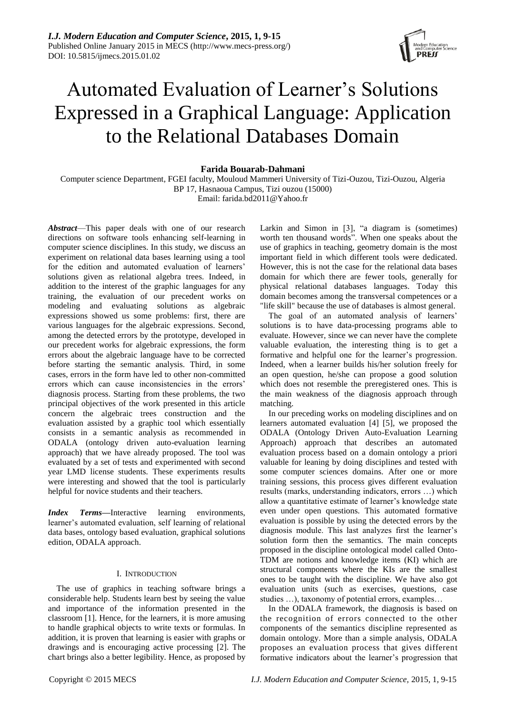

# Automated Evaluation of Learner"s Solutions Expressed in a Graphical Language: Application to the Relational Databases Domain

### **Farida Bouarab-Dahmani**

Computer science Department, FGEI faculty, Mouloud Mammeri University of Tizi-Ouzou, Tizi-Ouzou, Algeria BP 17, Hasnaoua Campus, Tizi ouzou (15000) Email: farida.bd2011@Yahoo.fr

*Abstract*—This paper deals with one of our research directions on software tools enhancing self-learning in computer science disciplines. In this study, we discuss an experiment on relational data bases learning using a tool for the edition and automated evaluation of learners' solutions given as relational algebra trees. Indeed, in addition to the interest of the graphic languages for any training, the evaluation of our precedent works on modeling and evaluating solutions as algebraic expressions showed us some problems: first, there are various languages for the algebraic expressions. Second, among the detected errors by the prototype, developed in our precedent works for algebraic expressions, the form errors about the algebraic language have to be corrected before starting the semantic analysis. Third, in some cases, errors in the form have led to other non-committed errors which can cause inconsistencies in the errors" diagnosis process. Starting from these problems, the two principal objectives of the work presented in this article concern the algebraic trees construction and the evaluation assisted by a graphic tool which essentially consists in a semantic analysis as recommended in ODALA (ontology driven auto-evaluation learning approach) that we have already proposed. The tool was evaluated by a set of tests and experimented with second year LMD license students. These experiments results were interesting and showed that the tool is particularly helpful for novice students and their teachers.

*Index Terms***—**Interactive learning environments, learner"s automated evaluation, self learning of relational data bases, ontology based evaluation, graphical solutions edition, ODALA approach.

#### I. INTRODUCTION

The use of graphics in teaching software brings a considerable help. Students learn best by seeing the value and importance of the information presented in the classroom [1]. Hence, for the learners, it is more amusing to handle graphical objects to write texts or formulas. In addition, it is proven that learning is easier with graphs or drawings and is encouraging active processing [2]. The chart brings also a better legibility. Hence, as proposed by

Larkin and Simon in [3], "a diagram is (sometimes) worth ten thousand words". When one speaks about the use of graphics in teaching, geometry domain is the most important field in which different tools were dedicated. However, this is not the case for the relational data bases domain for which there are fewer tools, generally for physical relational databases languages. Today this domain becomes among the transversal competences or a "life skill" because the use of databases is almost general.

The goal of an automated analysis of learners' solutions is to have data-processing programs able to evaluate. However, since we can never have the complete valuable evaluation, the interesting thing is to get a formative and helpful one for the learner"s progression. Indeed, when a learner builds his/her solution freely for an open question, he/she can propose a good solution which does not resemble the preregistered ones. This is the main weakness of the diagnosis approach through matching.

In our preceding works on modeling disciplines and on learners automated evaluation [4] [5], we proposed the ODALA (Ontology Driven Auto-Evaluation Learning Approach) approach that describes an automated evaluation process based on a domain ontology a priori valuable for leaning by doing disciplines and tested with some computer sciences domains. After one or more training sessions, this process gives different evaluation results (marks, understanding indicators, errors …) which allow a quantitative estimate of learner"s knowledge state even under open questions. This automated formative evaluation is possible by using the detected errors by the diagnosis module. This last analyzes first the learner's solution form then the semantics. The main concepts proposed in the discipline ontological model called Onto-TDM are notions and knowledge items (KI) which are structural components where the KIs are the smallest ones to be taught with the discipline. We have also got evaluation units (such as exercises, questions, case studies …), taxonomy of potential errors, examples…

In the ODALA framework, the diagnosis is based on the recognition of errors connected to the other components of the semantics discipline represented as domain ontology. More than a simple analysis, ODALA proposes an evaluation process that gives different formative indicators about the learner"s progression that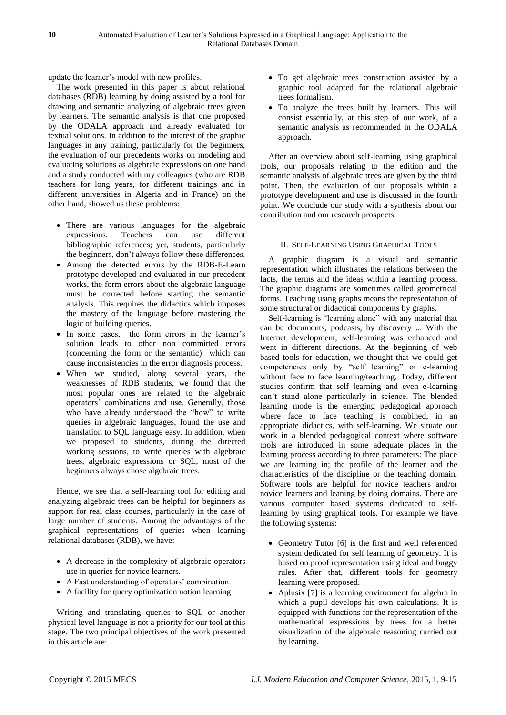update the learner"s model with new profiles.

The work presented in this paper is about relational databases (RDB) learning by doing assisted by a tool for drawing and semantic analyzing of algebraic trees given by learners. The semantic analysis is that one proposed by the ODALA approach and already evaluated for textual solutions. In addition to the interest of the graphic languages in any training, particularly for the beginners, the evaluation of our precedents works on modeling and evaluating solutions as algebraic expressions on one hand and a study conducted with my colleagues (who are RDB teachers for long years, for different trainings and in different universities in Algeria and in France) on the other hand, showed us these problems:

- There are various languages for the algebraic expressions. Teachers can use different bibliographic references; yet, students, particularly the beginners, don"t always follow these differences.
- Among the detected errors by the RDB-E-Learn prototype developed and evaluated in our precedent works, the form errors about the algebraic language must be corrected before starting the semantic analysis. This requires the didactics which imposes the mastery of the language before mastering the logic of building queries.
- In some cases, the form errors in the learner's solution leads to other non committed errors (concerning the form or the semantic) which can cause inconsistencies in the error diagnosis process.
- When we studied, along several years, the weaknesses of RDB students, we found that the most popular ones are related to the algebraic operators" combinations and use. Generally, those who have already understood the "how" to write queries in algebraic languages, found the use and translation to SQL language easy. In addition, when we proposed to students, during the directed working sessions, to write queries with algebraic trees, algebraic expressions or SQL, most of the beginners always chose algebraic trees.

Hence, we see that a self-learning tool for editing and analyzing algebraic trees can be helpful for beginners as support for real class courses, particularly in the case of large number of students. Among the advantages of the graphical representations of queries when learning relational databases (RDB), we have:

- A decrease in the complexity of algebraic operators use in queries for novice learners.
- A Fast understanding of operators' combination.
- A facility for query optimization notion learning

Writing and translating queries to SQL or another physical level language is not a priority for our tool at this stage. The two principal objectives of the work presented in this article are:

- To get algebraic trees construction assisted by a graphic tool adapted for the relational algebraic trees formalism.
- To analyze the trees built by learners. This will consist essentially, at this step of our work, of a semantic analysis as recommended in the ODALA approach.

After an overview about self-learning using graphical tools, our proposals relating to the edition and the semantic analysis of algebraic trees are given by the third point. Then, the evaluation of our proposals within a prototype development and use is discussed in the fourth point. We conclude our study with a synthesis about our contribution and our research prospects.

# II. SELF-LEARNING USING GRAPHICAL TOOLS

A graphic diagram is a visual and semantic representation which illustrates the relations between the facts, the terms and the ideas within a learning process. The graphic diagrams are sometimes called geometrical forms. Teaching using graphs means the representation of some structural or didactical components by graphs.

Self-learning is "learning alone" with any material that can be documents, podcasts, by discovery ... With the Internet development, self-learning was enhanced and went in different directions. At the beginning of web based tools for education, we thought that we could get competencies only by "self learning" or e-learning without face to face learning/teaching. Today, different studies confirm that self learning and even e-learning can"t stand alone particularly in science. The blended learning mode is the emerging pedagogical approach where face to face teaching is combined, in an appropriate didactics, with self-learning. We situate our work in a blended pedagogical context where software tools are introduced in some adequate places in the learning process according to three parameters: The place we are learning in; the profile of the learner and the characteristics of the discipline or the teaching domain. Software tools are helpful for novice teachers and/or novice learners and leaning by doing domains. There are various computer based systems dedicated to selflearning by using graphical tools. For example we have the following systems:

- Geometry Tutor [6] is the first and well referenced system dedicated for self learning of geometry. It is based on proof representation using ideal and buggy rules. After that, different tools for geometry learning were proposed.
- Aplusix [7] is a learning environment for algebra in which a pupil develops his own calculations. It is equipped with functions for the representation of the mathematical expressions by trees for a better visualization of the algebraic reasoning carried out by learning.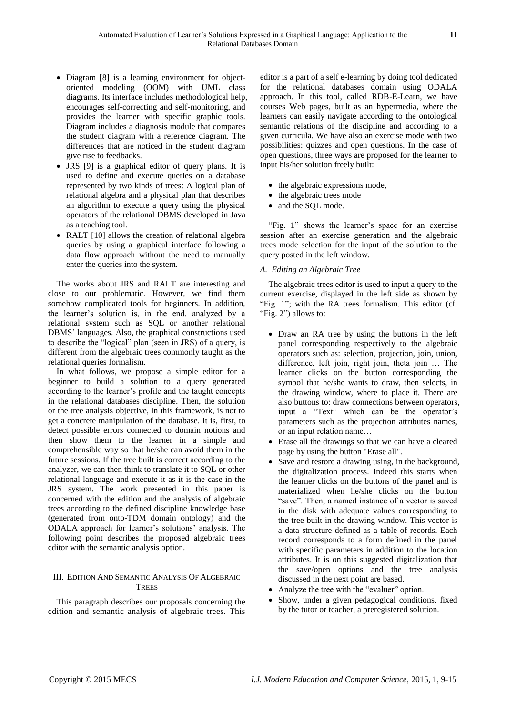- Diagram [8] is a learning environment for objectoriented modeling (OOM) with UML class diagrams. Its interface includes methodological help, encourages self-correcting and self-monitoring, and provides the learner with specific graphic tools. Diagram includes a diagnosis module that compares the student diagram with a reference diagram. The differences that are noticed in the student diagram give rise to feedbacks.
- JRS [9] is a graphical editor of query plans. It is used to define and execute queries on a database represented by two kinds of trees: A logical plan of relational algebra and a physical plan that describes an algorithm to execute a query using the physical operators of the relational DBMS developed in Java as a teaching tool.
- RALT [10] allows the creation of relational algebra queries by using a graphical interface following a data flow approach without the need to manually enter the queries into the system.

The works about JRS and RALT are interesting and close to our problematic. However, we find them somehow complicated tools for beginners. In addition, the learner"s solution is, in the end, analyzed by a relational system such as SQL or another relational DBMS" languages. Also, the graphical constructions used to describe the "logical" plan (seen in JRS) of a query, is different from the algebraic trees commonly taught as the relational queries formalism.

In what follows, we propose a simple editor for a beginner to build a solution to a query generated according to the learner"s profile and the taught concepts in the relational databases discipline. Then, the solution or the tree analysis objective, in this framework, is not to get a concrete manipulation of the database. It is, first, to detect possible errors connected to domain notions and then show them to the learner in a simple and comprehensible way so that he/she can avoid them in the future sessions. If the tree built is correct according to the analyzer, we can then think to translate it to SQL or other relational language and execute it as it is the case in the JRS system. The work presented in this paper is concerned with the edition and the analysis of algebraic trees according to the defined discipline knowledge base (generated from onto-TDM domain ontology) and the ODALA approach for learner"s solutions" analysis. The following point describes the proposed algebraic trees editor with the semantic analysis option.

# III. EDITION AND SEMANTIC ANALYSIS OF ALGEBRAIC **TREES**

This paragraph describes our proposals concerning the edition and semantic analysis of algebraic trees. This editor is a part of a self e-learning by doing tool dedicated for the relational databases domain using ODALA approach. In this tool, called RDB-E-Learn, we have courses Web pages, built as an hypermedia, where the learners can easily navigate according to the ontological semantic relations of the discipline and according to a given curricula. We have also an exercise mode with two possibilities: quizzes and open questions. In the case of open questions, three ways are proposed for the learner to input his/her solution freely built:

- the algebraic expressions mode,
- the algebraic trees mode
- and the SQL mode.

"Fig. 1" shows the learner's space for an exercise session after an exercise generation and the algebraic trees mode selection for the input of the solution to the query posted in the left window.

# *A. Editing an Algebraic Tree*

The algebraic trees editor is used to input a query to the current exercise, displayed in the left side as shown by "Fig. 1"; with the RA trees formalism. This editor (cf. "Fig. 2") allows to:

- Draw an RA tree by using the buttons in the left panel corresponding respectively to the algebraic operators such as: selection, projection, join, union, difference, left join, right join, theta join … The learner clicks on the button corresponding the symbol that he/she wants to draw, then selects, in the drawing window, where to place it. There are also buttons to: draw connections between operators, input a "Text" which can be the operator's parameters such as the projection attributes names, or an input relation name…
- Erase all the drawings so that we can have a cleared page by using the button "Erase all".
- Save and restore a drawing using, in the background, the digitalization process. Indeed this starts when the learner clicks on the buttons of the panel and is materialized when he/she clicks on the button "save". Then, a named instance of a vector is saved in the disk with adequate values corresponding to the tree built in the drawing window. This vector is a data structure defined as a table of records. Each record corresponds to a form defined in the panel with specific parameters in addition to the location attributes. It is on this suggested digitalization that the save/open options and the tree analysis discussed in the next point are based.
- Analyze the tree with the "evaluer" option.
- Show, under a given pedagogical conditions, fixed by the tutor or teacher, a preregistered solution.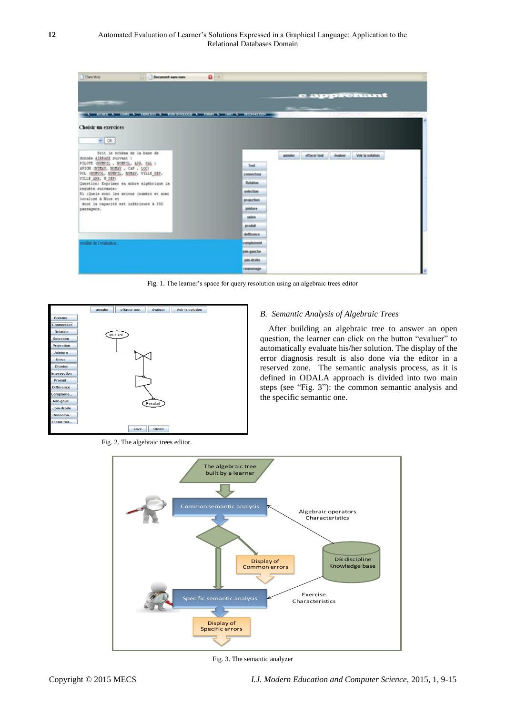| <b>ESans titres</b><br>Document sans nom                                                                                                                                                                                                                                                                                                                                                                  | $\mathbf{u}$ +                |                                                                |
|-----------------------------------------------------------------------------------------------------------------------------------------------------------------------------------------------------------------------------------------------------------------------------------------------------------------------------------------------------------------------------------------------------------|-------------------------------|----------------------------------------------------------------|
| --                                                                                                                                                                                                                                                                                                                                                                                                        |                               | e apprenant                                                    |
| A ACUEA & CORS & CONTENT & HOROVEROCH & FORM & CAT & BECHARTEN<br>Choisir un exercices                                                                                                                                                                                                                                                                                                                    |                               | THE REPORT OF THE REPORT OF THE PROPERTY OF<br><b>B</b> -DYNES |
| $-1.0K$<br>Soit le schésa de la base de<br>donnée AIRBASE suivant :<br>FILOTE (NUMPIL , NOMPIL, AND, SAL )<br>AVION ONURAY, NORAY , CAP , LOCI<br>VOL (NURSOL, NURSIL, NURAY, VILLE DEP.<br>VILLE ARR. M DEP:<br>Question: Exprimer en achre alptbrique la<br>requéte suivante:<br>31 :Quels sont les avicas (numéro et nom)<br>localisé à Nice et<br>dont la capacité est inférieure à 350<br>развадетв. |                               | effacer tout<br>evaluer Voir is solution.<br>product 11        |
|                                                                                                                                                                                                                                                                                                                                                                                                           | <b>Text</b>                   |                                                                |
|                                                                                                                                                                                                                                                                                                                                                                                                           | connecteur<br><b>Relation</b> |                                                                |
|                                                                                                                                                                                                                                                                                                                                                                                                           | selection.                    |                                                                |
|                                                                                                                                                                                                                                                                                                                                                                                                           | prejection                    |                                                                |
|                                                                                                                                                                                                                                                                                                                                                                                                           | jointure.                     |                                                                |
|                                                                                                                                                                                                                                                                                                                                                                                                           | <b>ARROSS</b>                 |                                                                |
|                                                                                                                                                                                                                                                                                                                                                                                                           | produt                        |                                                                |
|                                                                                                                                                                                                                                                                                                                                                                                                           | defference                    |                                                                |
| mediat de l'evaluance.                                                                                                                                                                                                                                                                                                                                                                                    | complement                    |                                                                |
|                                                                                                                                                                                                                                                                                                                                                                                                           | join-gauche<br>join droite.   |                                                                |
|                                                                                                                                                                                                                                                                                                                                                                                                           | remonsage                     |                                                                |

Fig. 1. The learner's space for query resolution using an algebraic trees editor



#### Fig. 2. The algebraic trees editor.

# *B. Semantic Analysis of Algebraic Trees*

After building an algebraic tree to answer an open question, the learner can click on the button "evaluer" to automatically evaluate his/her solution. The display of the error diagnosis result is also done via the editor in a reserved zone. The semantic analysis process, as it is defined in ODALA approach is divided into two main steps (see "Fig. 3"): the common semantic analysis and the specific semantic one.



Fig. 3. The semantic analyzer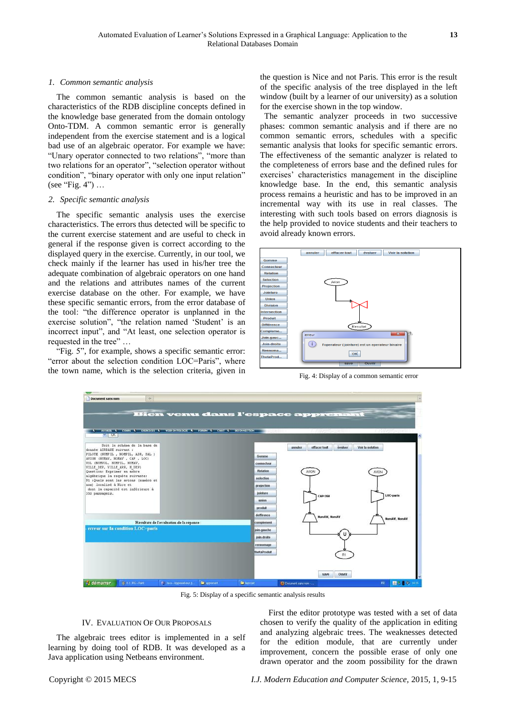### *1. Common semantic analysis*

The common semantic analysis is based on the characteristics of the RDB discipline concepts defined in the knowledge base generated from the domain ontology Onto-TDM. A common semantic error is generally independent from the exercise statement and is a logical bad use of an algebraic operator. For example we have: "Unary operator connected to two relations", "more than two relations for an operator", "selection operator without condition", "binary operator with only one input relation" (see "Fig. 4") …

#### *2. Specific semantic analysis*

The specific semantic analysis uses the exercise characteristics. The errors thus detected will be specific to the current exercise statement and are useful to check in general if the response given is correct according to the displayed query in the exercise. Currently, in our tool, we check mainly if the learner has used in his/her tree the adequate combination of algebraic operators on one hand and the relations and attributes names of the current exercise database on the other. For example, we have these specific semantic errors, from the error database of the tool: "the difference operator is unplanned in the exercise solution", "the relation named 'Student' is an incorrect input", and "At least, one selection operator is requested in the tree" …

"Fig. 5", for example, shows a specific semantic error: "error about the selection condition LOC=Paris", where the town name, which is the selection criteria, given in the question is Nice and not Paris. This error is the result of the specific analysis of the tree displayed in the left window (built by a learner of our university) as a solution for the exercise shown in the top window.

The semantic analyzer proceeds in two successive phases: common semantic analysis and if there are no common semantic errors, schedules with a specific semantic analysis that looks for specific semantic errors. The effectiveness of the semantic analyzer is related to the completeness of errors base and the defined rules for exercises' characteristics management in the discipline knowledge base. In the end, this semantic analysis process remains a heuristic and has to be improved in an incremental way with its use in real classes. The interesting with such tools based on errors diagnosis is the help provided to novice students and their teachers to avoid already known errors.



Fig. 4: Display of a common semantic error



Fig. 5: Display of a specific semantic analysis results

### IV. EVALUATION OF OUR PROPOSALS

The algebraic trees editor is implemented in a self learning by doing tool of RDB. It was developed as a Java application using Netbeans environment.

First the editor prototype was tested with a set of data chosen to verify the quality of the application in editing and analyzing algebraic trees. The weaknesses detected for the edition module, that are currently under improvement, concern the possible erase of only one drawn operator and the zoom possibility for the drawn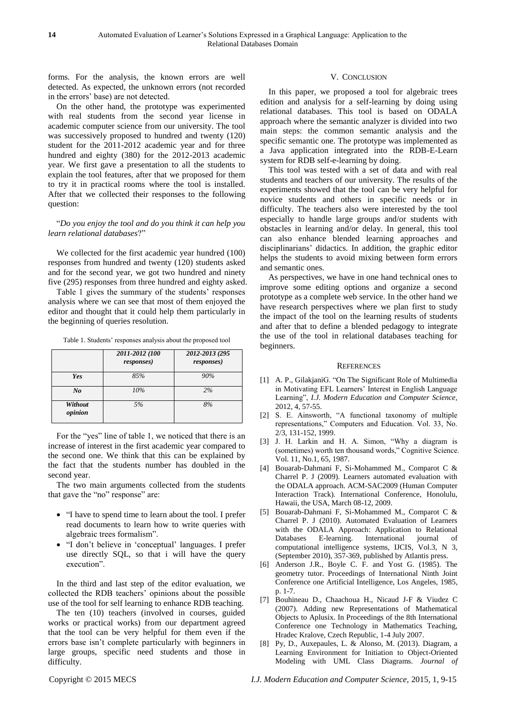forms. For the analysis, the known errors are well detected. As expected, the unknown errors (not recorded in the errors" base) are not detected.

On the other hand, the prototype was experimented with real students from the second year license in academic computer science from our university. The tool was successively proposed to hundred and twenty (120) student for the 2011-2012 academic year and for three hundred and eighty (380) for the 2012-2013 academic year. We first gave a presentation to all the students to explain the tool features, after that we proposed for them to try it in practical rooms where the tool is installed. After that we collected their responses to the following question:

#### "*Do you enjoy the tool and do you think it can help you learn relational databases*?"

We collected for the first academic year hundred (100) responses from hundred and twenty (120) students asked and for the second year, we got two hundred and ninety five (295) responses from three hundred and eighty asked.

Table 1 gives the summary of the students' responses analysis where we can see that most of them enjoyed the editor and thought that it could help them particularly in the beginning of queries resolution.

Table 1. Students' responses analysis about the proposed tool

|                    | 2011-2012 (100<br><i>responses</i> ) | 2012-2013 (295<br><i>responses</i> ) |
|--------------------|--------------------------------------|--------------------------------------|
| Yes                | 85%                                  | 90%                                  |
| No                 | 10%                                  | 2%                                   |
| Without<br>opinion | 5%                                   | 8%                                   |

For the "yes" line of table 1, we noticed that there is an increase of interest in the first academic year compared to the second one. We think that this can be explained by the fact that the students number has doubled in the second year.

The two main arguments collected from the students that gave the "no" response" are:

- "I have to spend time to learn about the tool. I prefer read documents to learn how to write queries with algebraic trees formalism".
- "I don"t believe in "conceptual" languages. I prefer use directly SQL, so that i will have the query execution".

In the third and last step of the editor evaluation, we collected the RDB teachers" opinions about the possible use of the tool for self learning to enhance RDB teaching.

The ten (10) teachers (involved in courses, guided works or practical works) from our department agreed that the tool can be very helpful for them even if the errors base isn"t complete particularly with beginners in large groups, specific need students and those in difficulty.

#### V. CONCLUSION

Relational Databases Domain

In this paper, we proposed a tool for algebraic trees edition and analysis for a self-learning by doing using relational databases. This tool is based on ODALA approach where the semantic analyzer is divided into two main steps: the common semantic analysis and the specific semantic one. The prototype was implemented as a Java application integrated into the RDB-E-Learn system for RDB self-e-learning by doing.

This tool was tested with a set of data and with real students and teachers of our university. The results of the experiments showed that the tool can be very helpful for novice students and others in specific needs or in difficulty. The teachers also were interested by the tool especially to handle large groups and/or students with obstacles in learning and/or delay. In general, this tool can also enhance blended learning approaches and disciplinarians" didactics. In addition, the graphic editor helps the students to avoid mixing between form errors and semantic ones.

As perspectives, we have in one hand technical ones to improve some editing options and organize a second prototype as a complete web service. In the other hand we have research perspectives where we plan first to study the impact of the tool on the learning results of students and after that to define a blended pedagogy to integrate the use of the tool in relational databases teaching for beginners.

#### **REFERENCES**

- [1] A. P., GilakjaniG. "On The Significant Role of Multimedia in Motivating EFL Learners' Interest in English Language Learning", *I.J. Modern Education and Computer Science,*  2012, 4, 57-55.
- [2] S. E. Ainsworth, "A functional taxonomy of multiple representations," Computers and Education. Vol. 33, No. 2/3, 131-152, 1999.
- [3] J. H. Larkin and H. A. Simon, "Why a diagram is (sometimes) worth ten thousand words," Cognitive Science. Vol. 11, No.1, 65, 1987.
- [4] Bouarab-Dahmani F, Si-Mohammed M., Comparot C & Charrel P. J (2009). Learners automated evaluation with the ODALA approach. ACM-SAC2009 (Human Computer Interaction Track). International Conference, Honolulu, Hawaii, the USA, March 08-12, 2009.
- [5] Bouarab-Dahmani F, Si-Mohammed M., Comparot C & Charrel P. J (2010). Automated Evaluation of Learners with the ODALA Approach: Application to Relational Databases E-learning. International journal of computational intelligence systems, IJCIS, Vol.3, N 3, (September 2010), 357-369, published by Atlantis press.
- [6] Anderson J.R., Boyle C. F. and Yost G. (1985). The geometry tutor. Proceedings of International Ninth Joint Conference one Artificial Intelligence, Los Angeles, 1985, p. 1-7.
- [7] Bouhineau D., Chaachoua H., Nicaud J-F & Viudez C (2007). Adding new Representations of Mathematical Objects to Aplusix. In Proceedings of the 8th International Conference one Technology in Mathematics Teaching, Hradec Kralove, Czech Republic, 1-4 July 2007.
- [8] Py, D., Auxepaules, L. & Alonso, M. (2013). Diagram, a Learning Environment for Initiation to Object-Oriented Modeling with UML Class Diagrams. *Journal of*